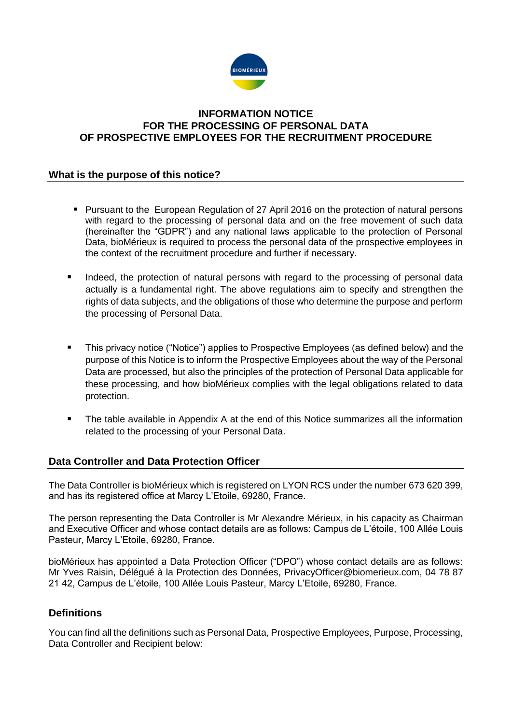

## **INFORMATION NOTICE FOR THE PROCESSING OF PERSONAL DATA OF PROSPECTIVE EMPLOYEES FOR THE RECRUITMENT PROCEDURE**

## **What is the purpose of this notice?**

- **Pursuant to the European Regulation of 27 April 2016 on the protection of natural persons** with regard to the processing of personal data and on the free movement of such data (hereinafter the "GDPR") and any national laws applicable to the protection of Personal Data, bioMérieux is required to process the personal data of the prospective employees in the context of the recruitment procedure and further if necessary.
- Indeed, the protection of natural persons with regard to the processing of personal data actually is a fundamental right. The above regulations aim to specify and strengthen the rights of data subjects, and the obligations of those who determine the purpose and perform the processing of Personal Data.
- This privacy notice ("Notice") applies to Prospective Employees (as defined below) and the purpose of this Notice is to inform the Prospective Employees about the way of the Personal Data are processed, but also the principles of the protection of Personal Data applicable for these processing, and how bioMérieux complies with the legal obligations related to data protection.
- The table available in Appendix A at the end of this Notice summarizes all the information related to the processing of your Personal Data.

## **Data Controller and Data Protection Officer**

The Data Controller is bioMérieux which is registered on LYON RCS under the number 673 620 399, and has its registered office at Marcy L'Etoile, 69280, France.

The person representing the Data Controller is Mr Alexandre Mérieux, in his capacity as Chairman and Executive Officer and whose contact details are as follows: Campus de L'étoile, 100 Allée Louis Pasteur, Marcy L'Etoile, 69280, France.

bioMérieux has appointed a Data Protection Officer ("DPO") whose contact details are as follows: Mr Yves Raisin, Délégué à la Protection des Données, [PrivacyOfficer@biomerieux.com,](mailto:PrivacyOfficer@biomerieux.com) 04 78 87 21 42, Campus de L'étoile, 100 Allée Louis Pasteur, Marcy L'Etoile, 69280, France.

#### **Definitions**

You can find all the definitions such as Personal Data, Prospective Employees, Purpose, Processing, Data Controller and Recipient below: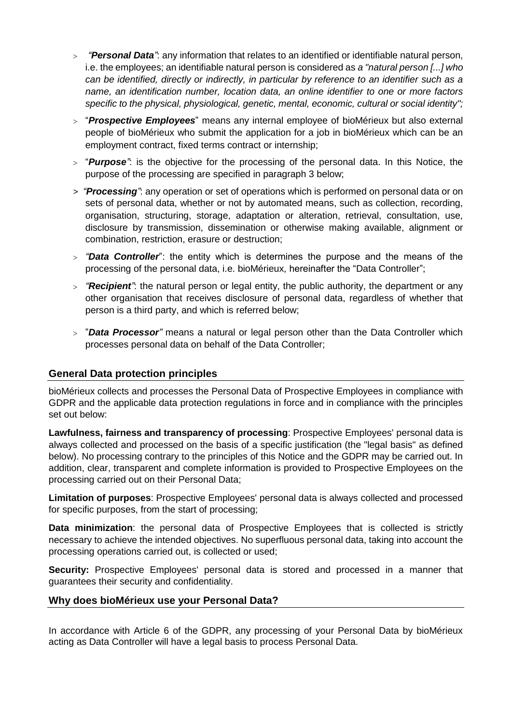- *"Personal Data"*: any information that relates to an identified or identifiable natural person, i.e. the employees; an identifiable natural person is considered as *a "natural person [...] who can be identified, directly or indirectly, in particular by reference to an identifier such as a name, an identification number, location data, an online identifier to one or more factors specific to the physical, physiological, genetic, mental, economic, cultural or social identity";*
- "*Prospective Employees*" means any internal employee of bioMérieux but also external people of bioMérieux who submit the application for a job in bioMérieux which can be an employment contract, fixed terms contract or internship;
- "*Purpose"*: is the objective for the processing of the personal data. In this Notice, the purpose of the processing are specified in paragraph 3 below;
- *> "Processing"*: any operation or set of operations which is performed on personal data or on sets of personal data, whether or not by automated means, such as collection, recording, organisation, structuring, storage, adaptation or alteration, retrieval, consultation, use, disclosure by transmission, dissemination or otherwise making available, alignment or combination, restriction, erasure or destruction;
- *"Data Controller*": the entity which is determines the purpose and the means of the processing of the personal data, i.e. bioMérieux, hereinafter the "Data Controller";
- *"Recipient"*: the natural person or legal entity, the public authority, the department or any other organisation that receives disclosure of personal data, regardless of whether that person is a third party, and which is referred below;
- "*Data Processor"* means a natural or legal person other than the Data Controller which processes personal data on behalf of the Data Controller;

## **General Data protection principles**

bioMérieux collects and processes the Personal Data of Prospective Employees in compliance with GDPR and the applicable data protection regulations in force and in compliance with the principles set out below:

**Lawfulness, fairness and transparency of processing**: Prospective Employees' personal data is always collected and processed on the basis of a specific justification (the "legal basis" as defined below). No processing contrary to the principles of this Notice and the GDPR may be carried out. In addition, clear, transparent and complete information is provided to Prospective Employees on the processing carried out on their Personal Data;

**Limitation of purposes**: Prospective Employees' personal data is always collected and processed for specific purposes, from the start of processing;

**Data minimization**: the personal data of Prospective Employees that is collected is strictly necessary to achieve the intended objectives. No superfluous personal data, taking into account the processing operations carried out, is collected or used;

**Security:** Prospective Employees' personal data is stored and processed in a manner that guarantees their security and confidentiality.

#### **Why does bioMérieux use your Personal Data?**

In accordance with Article 6 of the GDPR, any processing of your Personal Data by bioMérieux acting as Data Controller will have a legal basis to process Personal Data.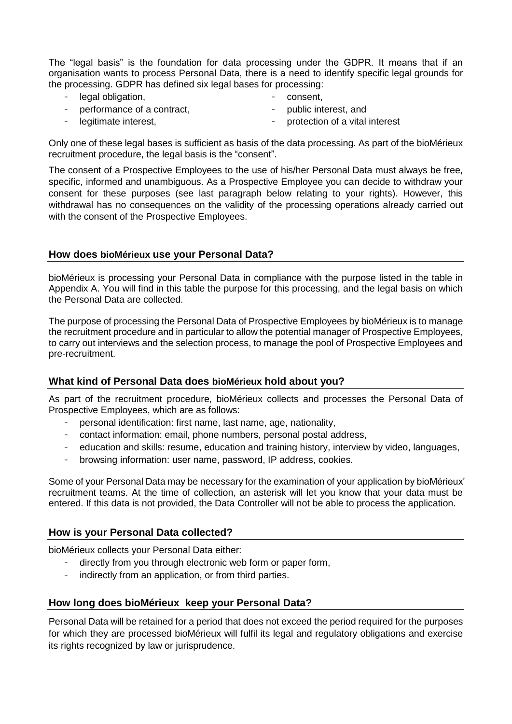The "legal basis" is the foundation for data processing under the GDPR. It means that if an organisation wants to process Personal Data, there is a need to identify specific legal grounds for the processing. GDPR has defined six legal bases for processing:

- legal obligation, - consent,
- performance of a contract, public interest, and
	- legitimate interest, protection of a vital interest

Only one of these legal bases is sufficient as basis of the data processing. As part of the bioMérieux recruitment procedure, the legal basis is the "consent".

The consent of a Prospective Employees to the use of his/her Personal Data must always be free, specific, informed and unambiguous. As a Prospective Employee you can decide to withdraw your consent for these purposes (see last paragraph below relating to your rights). However, this withdrawal has no consequences on the validity of the processing operations already carried out with the consent of the Prospective Employees.

## **How does bioMérieux use your Personal Data?**

bioMérieux is processing your Personal Data in compliance with the purpose listed in the table in Appendix A. You will find in this table the purpose for this processing, and the legal basis on which the Personal Data are collected.

The purpose of processing the Personal Data of Prospective Employees by bioMérieux is to manage the recruitment procedure and in particular to allow the potential manager of Prospective Employees, to carry out interviews and the selection process, to manage the pool of Prospective Employees and pre-recruitment.

## **What kind of Personal Data does bioMérieux hold about you?**

As part of the recruitment procedure, bioMérieux collects and processes the Personal Data of Prospective Employees, which are as follows:

- personal identification: first name, last name, age, nationality,
- contact information: email, phone numbers, personal postal address,
- education and skills: resume, education and training history, interview by video, languages,
- browsing information: user name, password, IP address, cookies.

Some of your Personal Data may be necessary for the examination of your application by bioMérieux' recruitment teams. At the time of collection, an asterisk will let you know that your data must be entered. If this data is not provided, the Data Controller will not be able to process the application.

#### **How is your Personal Data collected?**

bioMérieux collects your Personal Data either:

- directly from you through electronic web form or paper form,
- indirectly from an application, or from third parties.

## **How long does bioMérieux keep your Personal Data?**

Personal Data will be retained for a period that does not exceed the period required for the purposes for which they are processed bioMérieux will fulfil its legal and regulatory obligations and exercise its rights recognized by law or jurisprudence.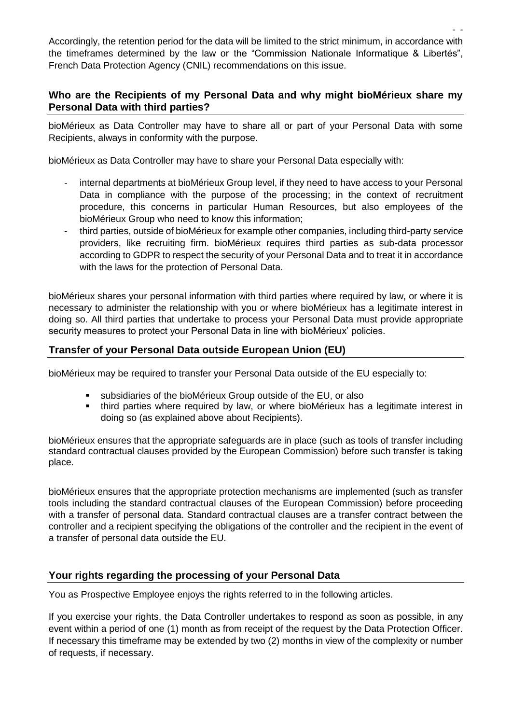- - Accordingly, the retention period for the data will be limited to the strict minimum, in accordance with the timeframes determined by the law or the "Commission Nationale Informatique & Libertés", French Data Protection Agency (CNIL) recommendations on this issue.

## **Who are the Recipients of my Personal Data and why might bioMérieux share my Personal Data with third parties?**

bioMérieux as Data Controller may have to share all or part of your Personal Data with some Recipients, always in conformity with the purpose.

bioMérieux as Data Controller may have to share your Personal Data especially with:

- internal departments at bioMérieux Group level, if they need to have access to your Personal Data in compliance with the purpose of the processing; in the context of recruitment procedure, this concerns in particular Human Resources, but also employees of the bioMérieux Group who need to know this information;
- third parties, outside of bioMérieux for example other companies, including third-party service providers, like recruiting firm. bioMérieux requires third parties as sub-data processor according to GDPR to respect the security of your Personal Data and to treat it in accordance with the laws for the protection of Personal Data.

bioMérieux shares your personal information with third parties where required by law, or where it is necessary to administer the relationship with you or where bioMérieux has a legitimate interest in doing so. All third parties that undertake to process your Personal Data must provide appropriate security measures to protect your Personal Data in line with bioMérieux' policies.

# **Transfer of your Personal Data outside European Union (EU)**

bioMérieux may be required to transfer your Personal Data outside of the EU especially to:

- subsidiaries of the bioMérieux Group outside of the EU, or also
- third parties where required by law, or where bioMérieux has a legitimate interest in doing so (as explained above about Recipients).

bioMérieux ensures that the appropriate safeguards are in place (such as tools of transfer including standard contractual clauses provided by the European Commission) before such transfer is taking place.

bioMérieux ensures that the appropriate protection mechanisms are implemented (such as transfer tools including the standard contractual clauses of the European Commission) before proceeding with a transfer of personal data. Standard contractual clauses are a transfer contract between the controller and a recipient specifying the obligations of the controller and the recipient in the event of a transfer of personal data outside the EU.

## **Your rights regarding the processing of your Personal Data**

You as Prospective Employee enjoys the rights referred to in the following articles.

If you exercise your rights, the Data Controller undertakes to respond as soon as possible, in any event within a period of one (1) month as from receipt of the request by the Data Protection Officer. If necessary this timeframe may be extended by two (2) months in view of the complexity or number of requests, if necessary.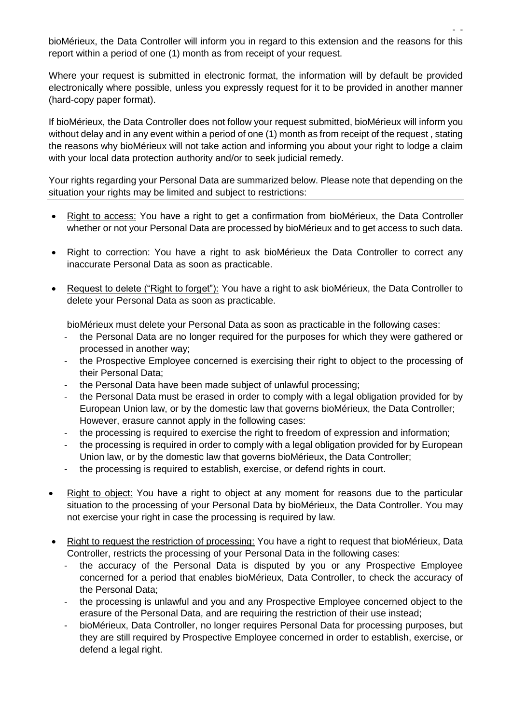- bioMérieux, the Data Controller will inform you in regard to this extension and the reasons for this report within a period of one (1) month as from receipt of your request.

Where your request is submitted in electronic format, the information will by default be provided electronically where possible, unless you expressly request for it to be provided in another manner (hard-copy paper format).

If bioMérieux, the Data Controller does not follow your request submitted, bioMérieux will inform you without delay and in any event within a period of one (1) month as from receipt of the request , stating the reasons why bioMérieux will not take action and informing you about your right to lodge a claim with your local data protection authority and/or to seek judicial remedy.

Your rights regarding your Personal Data are summarized below. Please note that depending on the situation your rights may be limited and subject to restrictions:

- Right to access: You have a right to get a confirmation from bioMérieux, the Data Controller whether or not your Personal Data are processed by bioMérieux and to get access to such data.
- Right to correction: You have a right to ask bioMérieux the Data Controller to correct any inaccurate Personal Data as soon as practicable.
- Request to delete ("Right to forget"): You have a right to ask bioMérieux, the Data Controller to delete your Personal Data as soon as practicable.

bioMérieux must delete your Personal Data as soon as practicable in the following cases:

- the Personal Data are no longer required for the purposes for which they were gathered or processed in another way;
- the Prospective Employee concerned is exercising their right to object to the processing of their Personal Data;
- the Personal Data have been made subject of unlawful processing;
- the Personal Data must be erased in order to comply with a legal obligation provided for by European Union law, or by the domestic law that governs bioMérieux, the Data Controller; However, erasure cannot apply in the following cases:
- the processing is required to exercise the right to freedom of expression and information;
- the processing is required in order to comply with a legal obligation provided for by European Union law, or by the domestic law that governs bioMérieux, the Data Controller;
- the processing is required to establish, exercise, or defend rights in court.
- Right to object: You have a right to object at any moment for reasons due to the particular situation to the processing of your Personal Data by bioMérieux, the Data Controller. You may not exercise your right in case the processing is required by law.
- Right to request the restriction of processing: You have a right to request that bioMérieux, Data Controller, restricts the processing of your Personal Data in the following cases:
	- the accuracy of the Personal Data is disputed by you or any Prospective Employee concerned for a period that enables bioMérieux, Data Controller, to check the accuracy of the Personal Data;
	- the processing is unlawful and you and any Prospective Employee concerned object to the erasure of the Personal Data, and are requiring the restriction of their use instead;
	- bioMérieux, Data Controller, no longer requires Personal Data for processing purposes, but they are still required by Prospective Employee concerned in order to establish, exercise, or defend a legal right.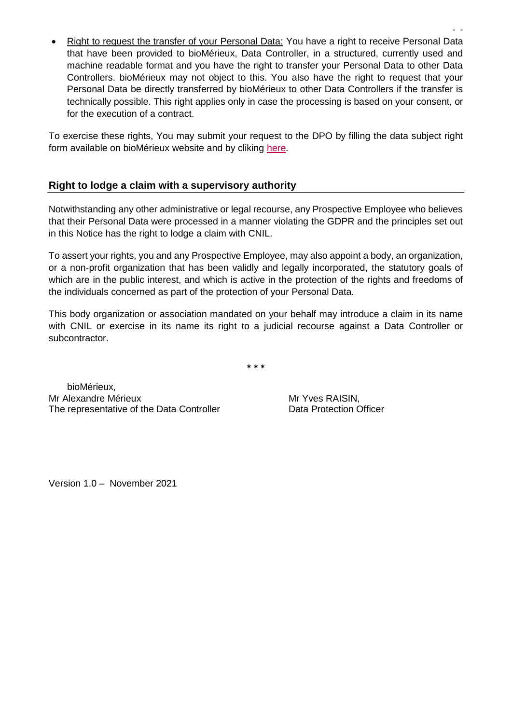- - • Right to request the transfer of your Personal Data: You have a right to receive Personal Data that have been provided to bioMérieux, Data Controller, in a structured, currently used and machine readable format and you have the right to transfer your Personal Data to other Data Controllers. bioMérieux may not object to this. You also have the right to request that your Personal Data be directly transferred by bioMérieux to other Data Controllers if the transfer is technically possible. This right applies only in case the processing is based on your consent, or for the execution of a contract.

To exercise these rights, You may submit your request to the DPO by filling the data subject right form available on bioMérieux website and by cliking [here.](https://www.biomerieux.com/en/rights-data-subjects)

## **Right to lodge a claim with a supervisory authority**

Notwithstanding any other administrative or legal recourse, any Prospective Employee who believes that their Personal Data were processed in a manner violating the GDPR and the principles set out in this Notice has the right to lodge a claim with CNIL.

To assert your rights, you and any Prospective Employee, may also appoint a body, an organization, or a non-profit organization that has been validly and legally incorporated, the statutory goals of which are in the public interest, and which is active in the protection of the rights and freedoms of the individuals concerned as part of the protection of your Personal Data.

This body organization or association mandated on your behalf may introduce a claim in its name with CNIL or exercise in its name its right to a judicial recourse against a Data Controller or subcontractor.

**\* \* \***

 bioMérieux, Mr Alexandre Mérieux<br>
The representative of the Data Controller

Mr Yves RAISIN,<br>
Data Protection Officer The representative of the Data Controller

Version 1.0 – November 2021